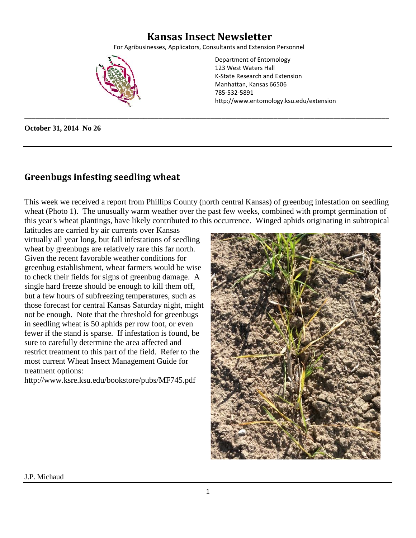## **Kansas Insect Newsletter**

For Agribusinesses, Applicators, Consultants and Extension Personnel

\_\_\_\_\_\_\_\_\_\_\_\_\_\_\_\_\_\_\_\_\_\_\_\_\_\_\_\_\_\_\_\_\_\_\_\_\_\_\_\_\_\_\_\_\_\_\_\_\_\_\_\_\_\_\_\_\_\_\_\_\_\_\_\_\_\_\_\_\_\_\_\_\_\_\_\_\_\_\_\_\_\_\_\_\_\_\_\_\_\_\_\_\_\_\_\_\_\_



Department of Entomology 123 West Waters Hall K-State Research and Extension Manhattan, Kansas 66506 785-532-5891 http://www.entomology.ksu.edu/extension

**October 31, 2014 No 26**

### **Greenbugs infesting seedling wheat**

This week we received a report from Phillips County (north central Kansas) of greenbug infestation on seedling wheat (Photo 1). The unusually warm weather over the past few weeks, combined with prompt germination of this year's wheat plantings, have likely contributed to this occurrence. Winged aphids originating in subtropical

latitudes are carried by air currents over Kansas virtually all year long, but fall infestations of seedling wheat by greenbugs are relatively rare this far north. Given the recent favorable weather conditions for greenbug establishment, wheat farmers would be wise to check their fields for signs of greenbug damage. A single hard freeze should be enough to kill them off, but a few hours of subfreezing temperatures, such as those forecast for central Kansas Saturday night, might not be enough. Note that the threshold for greenbugs in seedling wheat is 50 aphids per row foot, or even fewer if the stand is sparse. If infestation is found, be sure to carefully determine the area affected and restrict treatment to this part of the field. Refer to the most current Wheat Insect Management Guide for treatment options:

http://www.ksre.ksu.edu/bookstore/pubs/MF745.pdf

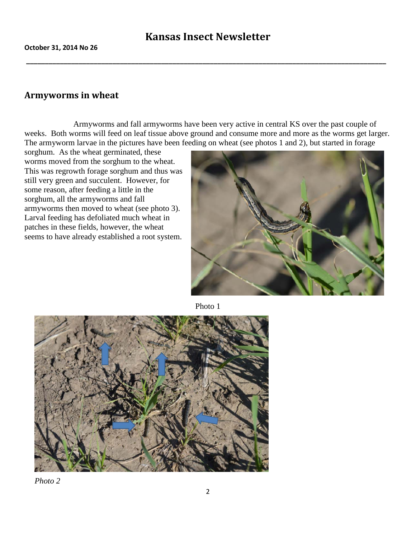**\_\_\_\_\_\_\_\_\_\_\_\_\_\_\_\_\_\_\_\_\_\_\_\_\_\_\_\_\_\_\_\_\_\_\_\_\_\_\_\_\_\_\_\_\_\_\_\_\_\_\_\_\_\_\_\_\_\_\_\_\_\_\_\_\_\_\_\_\_\_\_\_\_\_\_\_\_\_\_\_\_\_\_\_\_\_\_\_\_\_\_\_\_\_\_\_**

### **Armyworms in wheat**

Armyworms and fall armyworms have been very active in central KS over the past couple of weeks. Both worms will feed on leaf tissue above ground and consume more and more as the worms get larger. The armyworm larvae in the pictures have been feeding on wheat (see photos 1 and 2), but started in forage

sorghum. As the wheat germinated, these worms moved from the sorghum to the wheat. This was regrowth forage sorghum and thus was still very green and succulent. However, for some reason, after feeding a little in the sorghum, all the armyworms and fall armyworms then moved to wheat (see photo 3). Larval feeding has defoliated much wheat in patches in these fields, however, the wheat seems to have already established a root system.



Photo 1



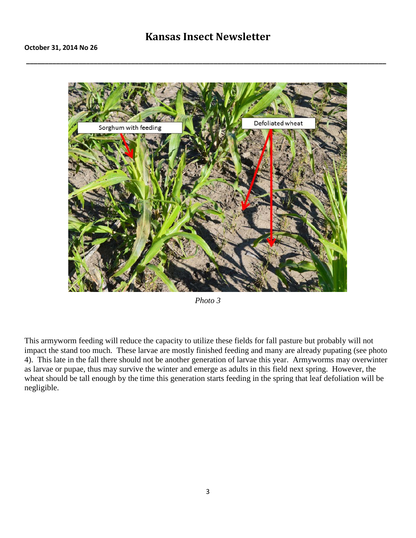## **Kansas Insect Newsletter**

**\_\_\_\_\_\_\_\_\_\_\_\_\_\_\_\_\_\_\_\_\_\_\_\_\_\_\_\_\_\_\_\_\_\_\_\_\_\_\_\_\_\_\_\_\_\_\_\_\_\_\_\_\_\_\_\_\_\_\_\_\_\_\_\_\_\_\_\_\_\_\_\_\_\_\_\_\_\_\_\_\_\_\_\_\_\_\_\_\_\_\_\_\_\_\_\_**



*Photo 3*

This armyworm feeding will reduce the capacity to utilize these fields for fall pasture but probably will not impact the stand too much. These larvae are mostly finished feeding and many are already pupating (see photo 4). This late in the fall there should not be another generation of larvae this year. Armyworms may overwinter as larvae or pupae, thus may survive the winter and emerge as adults in this field next spring. However, the wheat should be tall enough by the time this generation starts feeding in the spring that leaf defoliation will be negligible.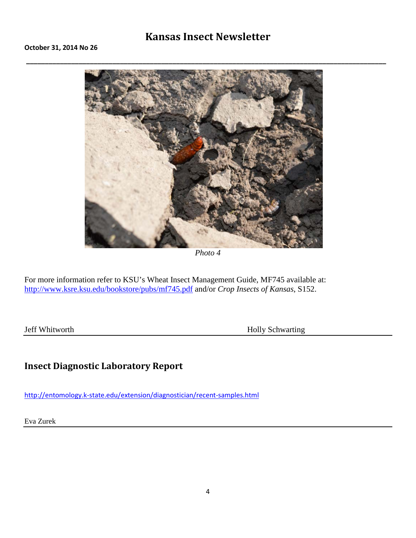## **Kansas Insect Newsletter**

**\_\_\_\_\_\_\_\_\_\_\_\_\_\_\_\_\_\_\_\_\_\_\_\_\_\_\_\_\_\_\_\_\_\_\_\_\_\_\_\_\_\_\_\_\_\_\_\_\_\_\_\_\_\_\_\_\_\_\_\_\_\_\_\_\_\_\_\_\_\_\_\_\_\_\_\_\_\_\_\_\_\_\_\_\_\_\_\_\_\_\_\_\_\_\_\_**



*Photo 4*

For more information refer to KSU's Wheat Insect Management Guide, MF745 available at: <http://www.ksre.ksu.edu/bookstore/pubs/mf745.pdf> and/or *Crop Insects of Kansas*, S152.

Jeff Whitworth Holly Schwarting

## **Insect Diagnostic Laboratory Repor[t](http://entomology.k-state.edu/extension/diagnostician/recent-samples.html)**

<http://entomology.k-state.edu/extension/diagnostician/recent-samples.html>

Eva Zurek